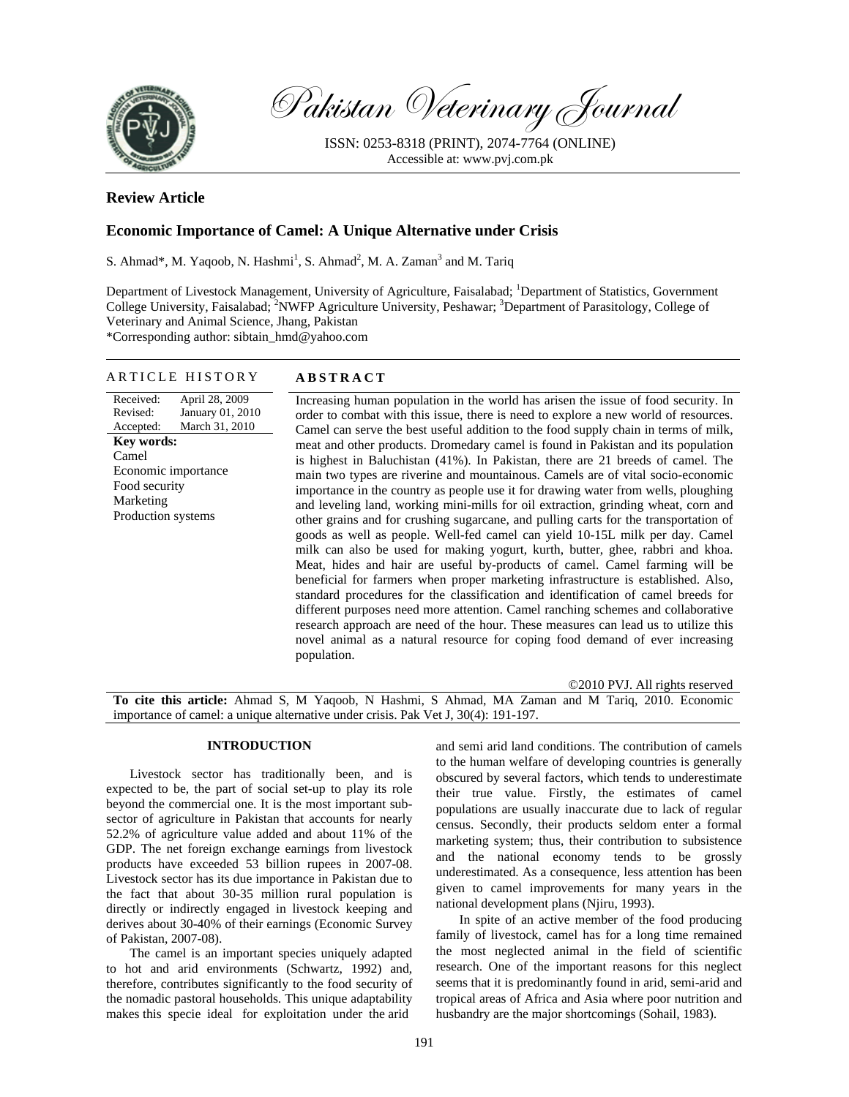

Pakistan Veterinary Journal

ISSN: 0253-8318 (PRINT), 2074-7764 (ONLINE) Accessible at: www.pvj.com.pk

# **Review Article**

# **Economic Importance of Camel: A Unique Alternative under Crisis**

S. Ahmad\*, M. Yaqoob, N. Hashmi<sup>1</sup>, S. Ahmad<sup>2</sup>, M. A. Zaman<sup>3</sup> and M. Tariq

Department of Livestock Management, University of Agriculture, Faisalabad; <sup>1</sup>Department of Statistics, Government College University, Faisalabad; <sup>2</sup>NWFP Agriculture University, Peshawar; <sup>3</sup>Department of Parasitology, College of Veterinary and Animal Science, Jhang, Pakistan \*Corresponding author: sibtain\_hmd@yahoo.com

## ARTICLE HISTORY **ABSTRACT**

Received: Revised: Accepted: April 28, 2009 January 01, 2010 March 31, 2010 **Key words:**  Camel Economic importance Food security Marketing Production systems

Increasing human population in the world has arisen the issue of food security. In order to combat with this issue, there is need to explore a new world of resources. Camel can serve the best useful addition to the food supply chain in terms of milk, meat and other products. Dromedary camel is found in Pakistan and its population is highest in Baluchistan (41%). In Pakistan, there are 21 breeds of camel. The main two types are riverine and mountainous. Camels are of vital socio-economic importance in the country as people use it for drawing water from wells, ploughing and leveling land, working mini-mills for oil extraction, grinding wheat, corn and other grains and for crushing sugarcane, and pulling carts for the transportation of goods as well as people. Well-fed camel can yield 10-15L milk per day. Camel milk can also be used for making yogurt, kurth, butter, ghee, rabbri and khoa. Meat, hides and hair are useful by-products of camel. Camel farming will be beneficial for farmers when proper marketing infrastructure is established. Also, standard procedures for the classification and identification of camel breeds for different purposes need more attention. Camel ranching schemes and collaborative research approach are need of the hour. These measures can lead us to utilize this novel animal as a natural resource for coping food demand of ever increasing population.

©2010 PVJ. All rights reserved

**To cite this article:** Ahmad S, M Yaqoob, N Hashmi, S Ahmad, MA Zaman and M Tariq, 2010. Economic importance of camel: a unique alternative under crisis. Pak Vet J, 30(4): 191-197.

# **INTRODUCTION**

Livestock sector has traditionally been, and is expected to be, the part of social set-up to play its role beyond the commercial one. It is the most important subsector of agriculture in Pakistan that accounts for nearly 52.2% of agriculture value added and about 11% of the GDP. The net foreign exchange earnings from livestock products have exceeded 53 billion rupees in 2007-08. Livestock sector has its due importance in Pakistan due to the fact that about 30-35 million rural population is directly or indirectly engaged in livestock keeping and derives about 30-40% of their earnings (Economic Survey of Pakistan, 2007-08).

The camel is an important species uniquely adapted to hot and arid environments (Schwartz, 1992) and, therefore, contributes significantly to the food security of the nomadic pastoral households. This unique adaptability makes this specie ideal for exploitation under the arid

and semi arid land conditions. The contribution of camels to the human welfare of developing countries is generally obscured by several factors, which tends to underestimate their true value. Firstly, the estimates of camel populations are usually inaccurate due to lack of regular census. Secondly, their products seldom enter a formal marketing system; thus, their contribution to subsistence and the national economy tends to be grossly underestimated. As a consequence, less attention has been given to camel improvements for many years in the national development plans (Njiru, 1993).

In spite of an active member of the food producing family of livestock, camel has for a long time remained the most neglected animal in the field of scientific research. One of the important reasons for this neglect seems that it is predominantly found in arid, semi-arid and tropical areas of Africa and Asia where poor nutrition and husbandry are the major shortcomings (Sohail, 1983).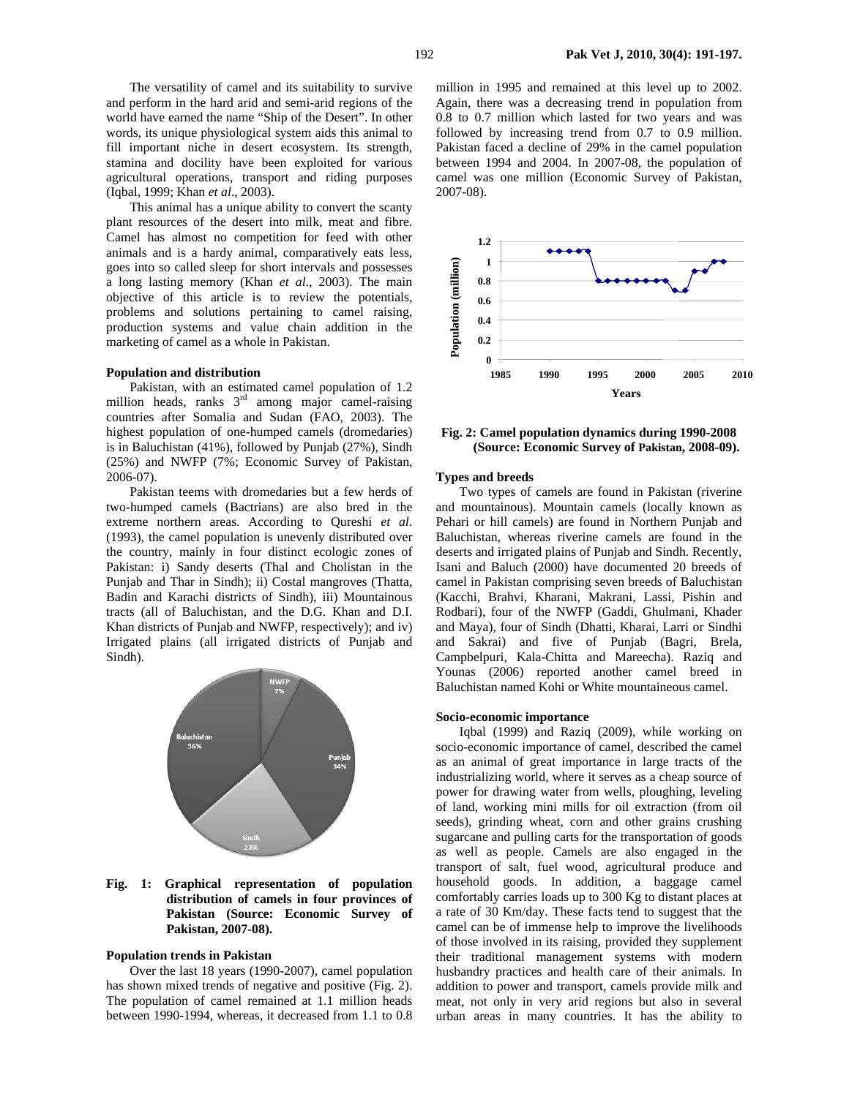The versatility of camel and its suitability to survive and perform in the hard arid and semi-arid regions of the world have earned the name "Ship of the Desert". In other words, its unique physiological system aids this animal to fill important niche in desert ecosystem. Its strength, stamina and docility have been exploited for various agricultural operations, transport and riding purposes (Iqbal, 1999; Khan *et al*., 2003).

This animal has a unique ability to convert the scanty plant resources of the desert into milk, meat and fibre. Camel has almost no competition for feed with other animals and is a hardy animal, comparatively eats less, goes into so called sleep for short intervals and possesses a long lasting memory (Khan *et al*., 2003). The main objective of this article is to review the potentials, problems and solutions pertaining to camel raising, production systems and value chain addition in the marketing of camel as a whole in Pakistan.

#### **Population and distribution**

Pakistan, with an estimated camel population of 1.2 million heads, ranks  $3<sup>rd</sup>$  among major camel-raising countries after Somalia and Sudan (FAO, 2003). The highest population of one-humped camels (dromedaries) is in Baluchistan (41%), followed by Punjab (27%), Sindh (25%) and NWFP (7%; Economic Survey of Pakistan, 2006-07).

Pakistan teems with dromedaries but a few herds of two-humped camels (Bactrians) are also bred in the extreme northern areas. According to Qureshi *et al*. (1993), the camel population is unevenly distributed over the country, mainly in four distinct ecologic zones of Pakistan: i) Sandy deserts (Thal and Cholistan in the Punjab and Thar in Sindh); ii) Costal mangroves (Thatta, Badin and Karachi districts of Sindh), iii) Mountainous tracts (all of Baluchistan, and the D.G. Khan and D.I. Khan districts of Punjab and NWFP, respectively); and iv) Irrigated plains (all irrigated districts of Punjab and Sindh).



## **Fig. 1: Graphical representation of population distribution of camels in four provinces of Pakistan (Source: Economic Survey of Pakistan, 2007-08).**

#### **Population trends in Pakistan**

Over the last 18 years (1990-2007), camel population has shown mixed trends of negative and positive (Fig. 2). The population of camel remained at 1.1 million heads between 1990-1994, whereas, it decreased from 1.1 to 0.8

million in 1995 and remained at this level up to 2002. Again, there was a decreasing trend in population from 0.8 to 0.7 million which lasted for two years and was followed by increasing trend from 0.7 to 0.9 million. Pakistan faced a decline of 29% in the camel population between 1994 and 2004. In 2007-08, the population of camel was one million (Economic Survey of Pakistan, 2007-08).



**Fig. 2: Camel population dynamics during 1990-2008 (Source: Economic Survey of Pakistan, 2008-09).** 

### **Types and breeds**

Two types of camels are found in Pakistan (riverine and mountainous). Mountain camels (locally known as Pehari or hill camels) are found in Northern Punjab and Baluchistan, whereas riverine camels are found in the deserts and irrigated plains of Punjab and Sindh. Recently, Isani and Baluch (2000) have documented 20 breeds of camel in Pakistan comprising seven breeds of Baluchistan (Kacchi, Brahvi, Kharani, Makrani, Lassi, Pishin and Rodbari), four of the NWFP (Gaddi, Ghulmani, Khader and Maya), four of Sindh (Dhatti, Kharai, Larri or Sindhi and Sakrai) and five of Punjab (Bagri, Brela, Campbelpuri, Kala-Chitta and Mareecha). Raziq and Younas (2006) reported another camel breed in Baluchistan named Kohi or White mountaineous camel.

## **Socio-economic importance**

Iqbal (1999) and Raziq (2009), while working on socio-economic importance of camel, described the camel as an animal of great importance in large tracts of the industrializing world, where it serves as a cheap source of power for drawing water from wells, ploughing, leveling of land, working mini mills for oil extraction (from oil seeds), grinding wheat, corn and other grains crushing sugarcane and pulling carts for the transportation of goods as well as people. Camels are also engaged in the transport of salt, fuel wood, agricultural produce and household goods. In addition, a baggage camel comfortably carries loads up to 300 Kg to distant places at a rate of 30 Km/day. These facts tend to suggest that the camel can be of immense help to improve the livelihoods of those involved in its raising, provided they supplement their traditional management systems with modern husbandry practices and health care of their animals. In addition to power and transport, camels provide milk and meat, not only in very arid regions but also in several urban areas in many countries. It has the ability to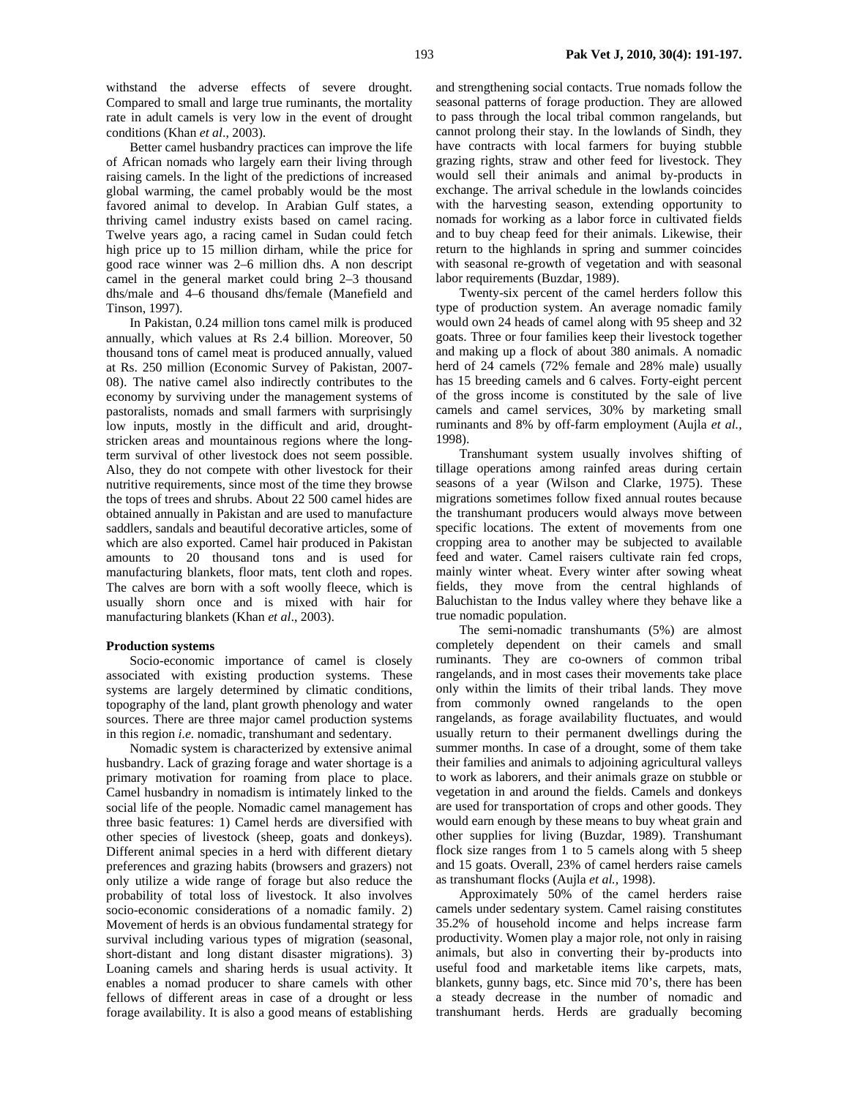withstand the adverse effects of severe drought. Compared to small and large true ruminants, the mortality rate in adult camels is very low in the event of drought conditions (Khan *et al*., 2003).

Better camel husbandry practices can improve the life of African nomads who largely earn their living through raising camels. In the light of the predictions of increased global warming, the camel probably would be the most favored animal to develop. In Arabian Gulf states, a thriving camel industry exists based on camel racing. Twelve years ago, a racing camel in Sudan could fetch high price up to 15 million dirham, while the price for good race winner was 2–6 million dhs. A non descript camel in the general market could bring 2–3 thousand dhs/male and 4–6 thousand dhs/female (Manefield and Tinson, 1997).

In Pakistan, 0.24 million tons camel milk is produced annually, which values at Rs 2.4 billion. Moreover, 50 thousand tons of camel meat is produced annually, valued at Rs. 250 million (Economic Survey of Pakistan, 2007- 08). The native camel also indirectly contributes to the economy by surviving under the management systems of pastoralists, nomads and small farmers with surprisingly low inputs, mostly in the difficult and arid, droughtstricken areas and mountainous regions where the longterm survival of other livestock does not seem possible. Also, they do not compete with other livestock for their nutritive requirements, since most of the time they browse the tops of trees and shrubs. About 22 500 camel hides are obtained annually in Pakistan and are used to manufacture saddlers, sandals and beautiful decorative articles, some of which are also exported. Camel hair produced in Pakistan amounts to 20 thousand tons and is used for manufacturing blankets, floor mats, tent cloth and ropes. The calves are born with a soft woolly fleece, which is usually shorn once and is mixed with hair for manufacturing blankets (Khan *et al*., 2003).

#### **Production systems**

Socio-economic importance of camel is closely associated with existing production systems. These systems are largely determined by climatic conditions, topography of the land, plant growth phenology and water sources. There are three major camel production systems in this region *i.e.* nomadic, transhumant and sedentary.

Nomadic system is characterized by extensive animal husbandry. Lack of grazing forage and water shortage is a primary motivation for roaming from place to place. Camel husbandry in nomadism is intimately linked to the social life of the people. Nomadic camel management has three basic features: 1) Camel herds are diversified with other species of livestock (sheep, goats and donkeys). Different animal species in a herd with different dietary preferences and grazing habits (browsers and grazers) not only utilize a wide range of forage but also reduce the probability of total loss of livestock. It also involves socio-economic considerations of a nomadic family. 2) Movement of herds is an obvious fundamental strategy for survival including various types of migration (seasonal, short-distant and long distant disaster migrations). 3) Loaning camels and sharing herds is usual activity. It enables a nomad producer to share camels with other fellows of different areas in case of a drought or less forage availability. It is also a good means of establishing

and strengthening social contacts. True nomads follow the seasonal patterns of forage production. They are allowed to pass through the local tribal common rangelands, but cannot prolong their stay. In the lowlands of Sindh, they have contracts with local farmers for buying stubble grazing rights, straw and other feed for livestock. They would sell their animals and animal by-products in exchange. The arrival schedule in the lowlands coincides with the harvesting season, extending opportunity to nomads for working as a labor force in cultivated fields and to buy cheap feed for their animals. Likewise, their return to the highlands in spring and summer coincides with seasonal re-growth of vegetation and with seasonal labor requirements (Buzdar, 1989).

Twenty-six percent of the camel herders follow this type of production system. An average nomadic family would own 24 heads of camel along with 95 sheep and 32 goats. Three or four families keep their livestock together and making up a flock of about 380 animals. A nomadic herd of 24 camels (72% female and 28% male) usually has 15 breeding camels and 6 calves. Forty-eight percent of the gross income is constituted by the sale of live camels and camel services, 30% by marketing small ruminants and 8% by off-farm employment (Aujla *et al.,* 1998).

Transhumant system usually involves shifting of tillage operations among rainfed areas during certain seasons of a year (Wilson and Clarke, 1975). These migrations sometimes follow fixed annual routes because the transhumant producers would always move between specific locations. The extent of movements from one cropping area to another may be subjected to available feed and water. Camel raisers cultivate rain fed crops, mainly winter wheat. Every winter after sowing wheat fields, they move from the central highlands of Baluchistan to the Indus valley where they behave like a true nomadic population.

The semi-nomadic transhumants (5%) are almost completely dependent on their camels and small ruminants. They are co-owners of common tribal rangelands, and in most cases their movements take place only within the limits of their tribal lands. They move from commonly owned rangelands to the open rangelands, as forage availability fluctuates, and would usually return to their permanent dwellings during the summer months. In case of a drought, some of them take their families and animals to adjoining agricultural valleys to work as laborers, and their animals graze on stubble or vegetation in and around the fields. Camels and donkeys are used for transportation of crops and other goods. They would earn enough by these means to buy wheat grain and other supplies for living (Buzdar, 1989). Transhumant flock size ranges from 1 to 5 camels along with 5 sheep and 15 goats. Overall, 23% of camel herders raise camels as transhumant flocks (Aujla *et al.,* 1998).

Approximately 50% of the camel herders raise camels under sedentary system. Camel raising constitutes 35.2% of household income and helps increase farm productivity. Women play a major role, not only in raising animals, but also in converting their by-products into useful food and marketable items like carpets, mats, blankets, gunny bags, etc. Since mid 70's, there has been a steady decrease in the number of nomadic and transhumant herds. Herds are gradually becoming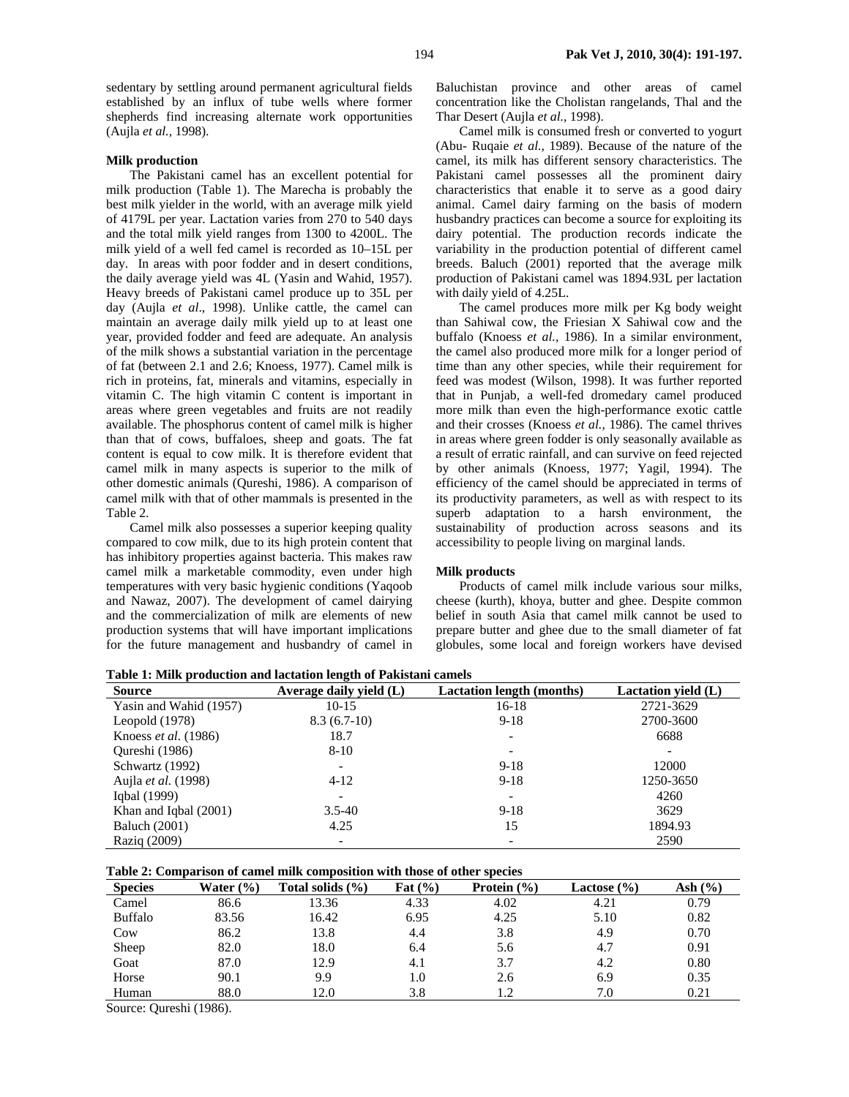sedentary by settling around permanent agricultural fields established by an influx of tube wells where former shepherds find increasing alternate work opportunities (Aujla *et al.,* 1998).

## **Milk production**

The Pakistani camel has an excellent potential for milk production (Table 1). The Marecha is probably the best milk yielder in the world, with an average milk yield of 4179L per year. Lactation varies from 270 to 540 days and the total milk yield ranges from 1300 to 4200L. The milk yield of a well fed camel is recorded as 10–15L per day. In areas with poor fodder and in desert conditions, the daily average yield was 4L (Yasin and Wahid, 1957). Heavy breeds of Pakistani camel produce up to 35L per day (Aujla *et al*., 1998). Unlike cattle, the camel can maintain an average daily milk yield up to at least one year, provided fodder and feed are adequate. An analysis of the milk shows a substantial variation in the percentage of fat (between 2.1 and 2.6; Knoess, 1977). Camel milk is rich in proteins, fat, minerals and vitamins, especially in vitamin C. The high vitamin C content is important in areas where green vegetables and fruits are not readily available. The phosphorus content of camel milk is higher than that of cows, buffaloes, sheep and goats. The fat content is equal to cow milk. It is therefore evident that camel milk in many aspects is superior to the milk of other domestic animals (Qureshi, 1986). A comparison of camel milk with that of other mammals is presented in the Table 2.

Camel milk also possesses a superior keeping quality compared to cow milk, due to its high protein content that has inhibitory properties against bacteria. This makes raw camel milk a marketable commodity, even under high temperatures with very basic hygienic conditions (Yaqoob and Nawaz, 2007). The development of camel dairying and the commercialization of milk are elements of new production systems that will have important implications for the future management and husbandry of camel in

Baluchistan province and other areas of camel concentration like the Cholistan rangelands, Thal and the Thar Desert (Aujla *et al.,* 1998).

Camel milk is consumed fresh or converted to yogurt (Abu- Ruqaie *et al.,* 1989). Because of the nature of the camel, its milk has different sensory characteristics. The Pakistani camel possesses all the prominent dairy characteristics that enable it to serve as a good dairy animal. Camel dairy farming on the basis of modern husbandry practices can become a source for exploiting its dairy potential. The production records indicate the variability in the production potential of different camel breeds. Baluch (2001) reported that the average milk production of Pakistani camel was 1894.93L per lactation with daily yield of 4.25L.

The camel produces more milk per Kg body weight than Sahiwal cow, the Friesian X Sahiwal cow and the buffalo (Knoess *et al.,* 1986). In a similar environment, the camel also produced more milk for a longer period of time than any other species, while their requirement for feed was modest (Wilson, 1998). It was further reported that in Punjab, a well-fed dromedary camel produced more milk than even the high-performance exotic cattle and their crosses (Knoess *et al.,* 1986). The camel thrives in areas where green fodder is only seasonally available as a result of erratic rainfall, and can survive on feed rejected by other animals (Knoess, 1977; Yagil, 1994). The efficiency of the camel should be appreciated in terms of its productivity parameters, as well as with respect to its superb adaptation to a harsh environment, the sustainability of production across seasons and its accessibility to people living on marginal lands.

## **Milk products**

Products of camel milk include various sour milks, cheese (kurth), khoya, butter and ghee. Despite common belief in south Asia that camel milk cannot be used to prepare butter and ghee due to the small diameter of fat globules, some local and foreign workers have devised

**Table 1: Milk production and lactation length of Pakistani camels** 

| <b>Source</b>               | Average daily yield (L) | <b>Lactation length (months)</b> | Lactation yield (L) |
|-----------------------------|-------------------------|----------------------------------|---------------------|
| Yasin and Wahid (1957)      | $10-15$                 | 16-18                            | 2721-3629           |
| Leopold $(1978)$            | $8.3(6.7-10)$           | $9-18$                           | 2700-3600           |
| Knoess <i>et al.</i> (1986) | 18.7                    |                                  | 6688                |
| Qureshi (1986)              | $8 - 10$                |                                  |                     |
| Schwartz (1992)             |                         | $9-18$                           | 12000               |
| Aujla et al. (1998)         | $4-12$                  | $9-18$                           | 1250-3650           |
| Igbal (1999)                |                         |                                  | 4260                |
| Khan and Iqbal (2001)       | $3.5 - 40$              | $9-18$                           | 3629                |
| <b>Baluch</b> (2001)        | 4.25                    | 15                               | 1894.93             |
| Raziq (2009)                |                         |                                  | 2590                |

|  | Table 2: Comparison of camel milk composition with those of other species |  |  |
|--|---------------------------------------------------------------------------|--|--|
|  |                                                                           |  |  |

| <b>Species</b> | Water $(\% )$ | Total solids $(\% )$ | Fat $(\% )$ | Protein $(\% )$ | Lactose $(\% )$ | Ash $(\% )$ |
|----------------|---------------|----------------------|-------------|-----------------|-----------------|-------------|
| Camel          | 86.6          | 13.36                | 4.33        | 4.02            | 4.21            | 0.79        |
| <b>Buffalo</b> | 83.56         | 16.42                | 6.95        | 4.25            | 5.10            | 0.82        |
| Cow            | 86.2          | 13.8                 | 4.4         | 3.8             | 4.9             | 0.70        |
| Sheep          | 82.0          | 18.0                 | 6.4         | 5.6             | 4.7             | 0.91        |
| Goat           | 87.0          | 12.9                 | 4.1         | 3.7             | 4.2             | 0.80        |
| Horse          | 90.1          | 9.9                  | 1.0         | 2.6             | 6.9             | 0.35        |
| Human          | 88.0          | 12.0                 | 3.8         | 1.2             | 7.0             | 0.21        |
| $\sim$ $\sim$  | .             |                      |             |                 |                 |             |

Source: Qureshi (1986).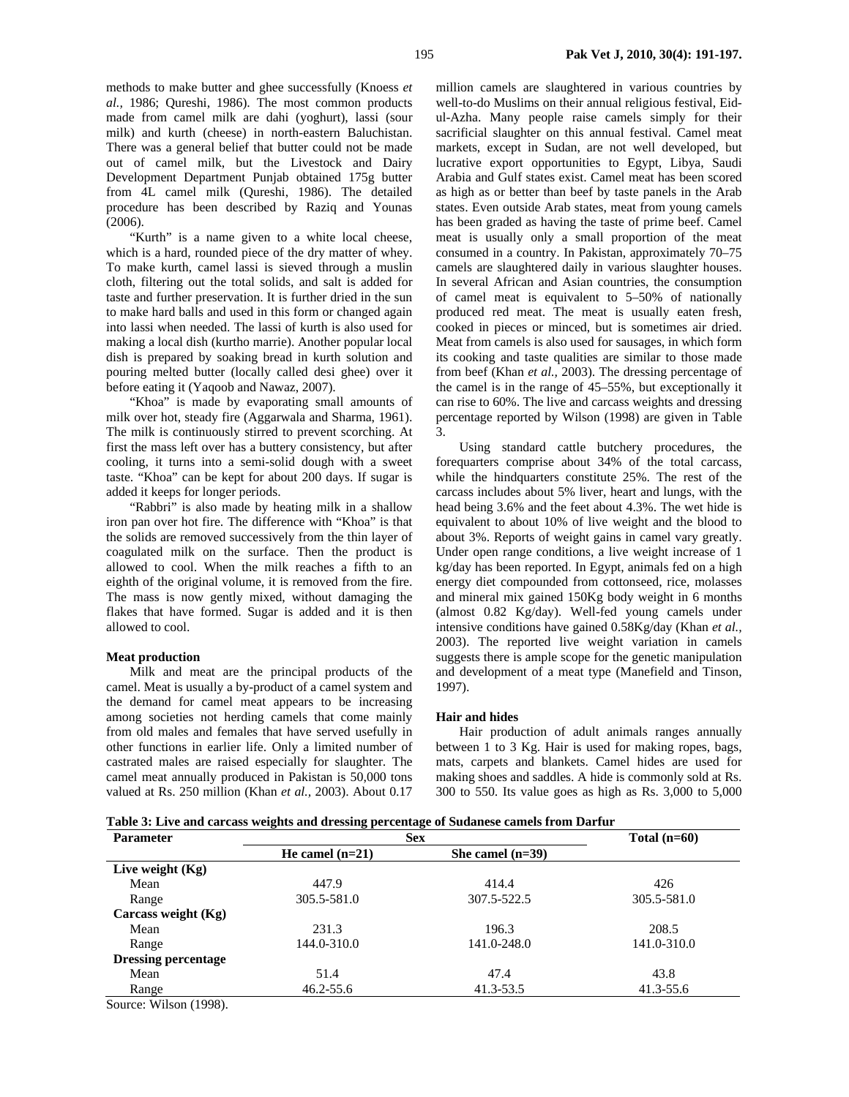methods to make butter and ghee successfully (Knoess *et al.,* 1986; Qureshi, 1986). The most common products made from camel milk are dahi (yoghurt), lassi (sour milk) and kurth (cheese) in north-eastern Baluchistan. There was a general belief that butter could not be made out of camel milk, but the Livestock and Dairy Development Department Punjab obtained 175g butter from 4L camel milk (Qureshi, 1986). The detailed procedure has been described by Raziq and Younas (2006).

"Kurth" is a name given to a white local cheese, which is a hard, rounded piece of the dry matter of whey. To make kurth, camel lassi is sieved through a muslin cloth, filtering out the total solids, and salt is added for taste and further preservation. It is further dried in the sun to make hard balls and used in this form or changed again into lassi when needed. The lassi of kurth is also used for making a local dish (kurtho marrie). Another popular local dish is prepared by soaking bread in kurth solution and pouring melted butter (locally called desi ghee) over it before eating it (Yaqoob and Nawaz, 2007).

"Khoa" is made by evaporating small amounts of milk over hot, steady fire (Aggarwala and Sharma, 1961). The milk is continuously stirred to prevent scorching. At first the mass left over has a buttery consistency, but after cooling, it turns into a semi-solid dough with a sweet taste. "Khoa" can be kept for about 200 days. If sugar is added it keeps for longer periods.

"Rabbri" is also made by heating milk in a shallow iron pan over hot fire. The difference with "Khoa" is that the solids are removed successively from the thin layer of coagulated milk on the surface. Then the product is allowed to cool. When the milk reaches a fifth to an eighth of the original volume, it is removed from the fire. The mass is now gently mixed, without damaging the flakes that have formed. Sugar is added and it is then allowed to cool.

#### **Meat production**

Milk and meat are the principal products of the camel. Meat is usually a by-product of a camel system and the demand for camel meat appears to be increasing among societies not herding camels that come mainly from old males and females that have served usefully in other functions in earlier life. Only a limited number of castrated males are raised especially for slaughter. The camel meat annually produced in Pakistan is 50,000 tons valued at Rs. 250 million (Khan *et al.,* 2003). About 0.17

million camels are slaughtered in various countries by well-to-do Muslims on their annual religious festival, Eidul-Azha. Many people raise camels simply for their sacrificial slaughter on this annual festival. Camel meat markets, except in Sudan, are not well developed, but lucrative export opportunities to Egypt, Libya, Saudi Arabia and Gulf states exist. Camel meat has been scored as high as or better than beef by taste panels in the Arab states. Even outside Arab states, meat from young camels has been graded as having the taste of prime beef. Camel meat is usually only a small proportion of the meat consumed in a country. In Pakistan, approximately 70–75 camels are slaughtered daily in various slaughter houses. In several African and Asian countries, the consumption of camel meat is equivalent to 5–50% of nationally produced red meat. The meat is usually eaten fresh, cooked in pieces or minced, but is sometimes air dried. Meat from camels is also used for sausages, in which form its cooking and taste qualities are similar to those made from beef (Khan *et al.,* 2003). The dressing percentage of the camel is in the range of 45–55%, but exceptionally it can rise to 60%. The live and carcass weights and dressing percentage reported by Wilson (1998) are given in Table 3.

Using standard cattle butchery procedures, the forequarters comprise about 34% of the total carcass, while the hindquarters constitute 25%. The rest of the carcass includes about 5% liver, heart and lungs, with the head being 3.6% and the feet about 4.3%. The wet hide is equivalent to about 10% of live weight and the blood to about 3%. Reports of weight gains in camel vary greatly. Under open range conditions, a live weight increase of 1 kg/day has been reported. In Egypt, animals fed on a high energy diet compounded from cottonseed, rice, molasses and mineral mix gained 150Kg body weight in 6 months (almost 0.82 Kg/day). Well-fed young camels under intensive conditions have gained 0.58Kg/day (Khan *et al.,* 2003). The reported live weight variation in camels suggests there is ample scope for the genetic manipulation and development of a meat type (Manefield and Tinson, 1997).

## **Hair and hides**

Hair production of adult animals ranges annually between 1 to 3 Kg. Hair is used for making ropes, bags, mats, carpets and blankets. Camel hides are used for making shoes and saddles. A hide is commonly sold at Rs. 300 to 550. Its value goes as high as Rs. 3,000 to 5,000

**Table 3: Live and carcass weights and dressing percentage of Sudanese camels from Darfur** 

| <b>Parameter</b>                                   | <b>Sex</b>        | Total $(n=60)$     |             |
|----------------------------------------------------|-------------------|--------------------|-------------|
|                                                    | He camel $(n=21)$ | She camel $(n=39)$ |             |
| Live weight $(Kg)$                                 |                   |                    |             |
| Mean                                               | 447.9             | 414.4              | 426         |
| Range                                              | 305.5-581.0       | 307.5-522.5        | 305.5-581.0 |
| Carcass weight $(Kg)$                              |                   |                    |             |
| Mean                                               | 231.3             | 196.3              | 208.5       |
| Range                                              | 144.0-310.0       | 141.0-248.0        | 141.0-310.0 |
| <b>Dressing percentage</b>                         |                   |                    |             |
| Mean                                               | 51.4              | 47.4               | 43.8        |
| Range                                              | 46.2-55.6         | 41.3-53.5          | 41.3-55.6   |
| $C_{\text{average}}$ $W^{11}_{\text{peak}}$ (1000) |                   |                    |             |

Source: Wilson (1998).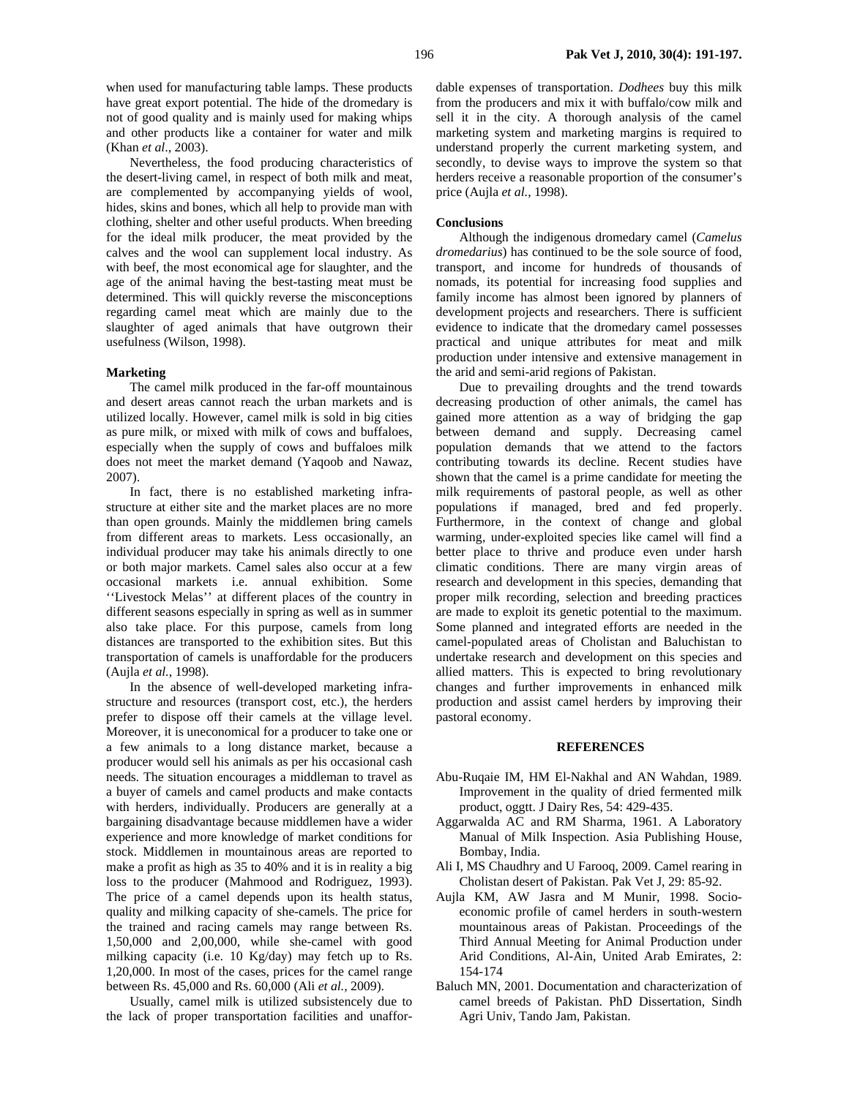when used for manufacturing table lamps. These products have great export potential. The hide of the dromedary is not of good quality and is mainly used for making whips and other products like a container for water and milk (Khan *et al*., 2003).

Nevertheless, the food producing characteristics of the desert-living camel, in respect of both milk and meat, are complemented by accompanying yields of wool, hides, skins and bones, which all help to provide man with clothing, shelter and other useful products. When breeding for the ideal milk producer, the meat provided by the calves and the wool can supplement local industry. As with beef, the most economical age for slaughter, and the age of the animal having the best-tasting meat must be determined. This will quickly reverse the misconceptions regarding camel meat which are mainly due to the slaughter of aged animals that have outgrown their usefulness (Wilson, 1998).

### **Marketing**

The camel milk produced in the far-off mountainous and desert areas cannot reach the urban markets and is utilized locally. However, camel milk is sold in big cities as pure milk, or mixed with milk of cows and buffaloes, especially when the supply of cows and buffaloes milk does not meet the market demand (Yaqoob and Nawaz, 2007).

In fact, there is no established marketing infrastructure at either site and the market places are no more than open grounds. Mainly the middlemen bring camels from different areas to markets. Less occasionally, an individual producer may take his animals directly to one or both major markets. Camel sales also occur at a few occasional markets i.e. annual exhibition. Some ''Livestock Melas'' at different places of the country in different seasons especially in spring as well as in summer also take place. For this purpose, camels from long distances are transported to the exhibition sites. But this transportation of camels is unaffordable for the producers (Aujla *et al.*, 1998).

In the absence of well-developed marketing infrastructure and resources (transport cost, etc.), the herders prefer to dispose off their camels at the village level. Moreover, it is uneconomical for a producer to take one or a few animals to a long distance market, because a producer would sell his animals as per his occasional cash needs. The situation encourages a middleman to travel as a buyer of camels and camel products and make contacts with herders, individually. Producers are generally at a bargaining disadvantage because middlemen have a wider experience and more knowledge of market conditions for stock. Middlemen in mountainous areas are reported to make a profit as high as 35 to 40% and it is in reality a big loss to the producer (Mahmood and Rodriguez, 1993). The price of a camel depends upon its health status, quality and milking capacity of she-camels. The price for the trained and racing camels may range between Rs. 1,50,000 and 2,00,000, while she-camel with good milking capacity (i.e. 10 Kg/day) may fetch up to Rs. 1,20,000. In most of the cases, prices for the camel range between Rs. 45,000 and Rs. 60,000 (Ali *et al.,* 2009).

Usually, camel milk is utilized subsistencely due to the lack of proper transportation facilities and unaffordable expenses of transportation. *Dodhees* buy this milk from the producers and mix it with buffalo/cow milk and sell it in the city. A thorough analysis of the camel marketing system and marketing margins is required to understand properly the current marketing system, and secondly, to devise ways to improve the system so that herders receive a reasonable proportion of the consumer's price (Aujla *et al.,* 1998).

#### **Conclusions**

Although the indigenous dromedary camel (*Camelus dromedarius*) has continued to be the sole source of food, transport, and income for hundreds of thousands of nomads, its potential for increasing food supplies and family income has almost been ignored by planners of development projects and researchers. There is sufficient evidence to indicate that the dromedary camel possesses practical and unique attributes for meat and milk production under intensive and extensive management in the arid and semi-arid regions of Pakistan.

Due to prevailing droughts and the trend towards decreasing production of other animals, the camel has gained more attention as a way of bridging the gap between demand and supply. Decreasing camel population demands that we attend to the factors contributing towards its decline. Recent studies have shown that the camel is a prime candidate for meeting the milk requirements of pastoral people, as well as other populations if managed, bred and fed properly. Furthermore, in the context of change and global warming, under-exploited species like camel will find a better place to thrive and produce even under harsh climatic conditions. There are many virgin areas of research and development in this species, demanding that proper milk recording, selection and breeding practices are made to exploit its genetic potential to the maximum. Some planned and integrated efforts are needed in the camel-populated areas of Cholistan and Baluchistan to undertake research and development on this species and allied matters. This is expected to bring revolutionary changes and further improvements in enhanced milk production and assist camel herders by improving their pastoral economy.

## **REFERENCES**

- Abu-Ruqaie IM, HM El-Nakhal and AN Wahdan, 1989. Improvement in the quality of dried fermented milk product, oggtt. J Dairy Res, 54: 429-435.
- Aggarwalda AC and RM Sharma, 1961. A Laboratory Manual of Milk Inspection. Asia Publishing House, Bombay, India.
- Ali I, MS Chaudhry and U Farooq, 2009. Camel rearing in Cholistan desert of Pakistan. Pak Vet J, 29: 85-92.
- Aujla KM, AW Jasra and M Munir, 1998. Socioeconomic profile of camel herders in south-western mountainous areas of Pakistan. Proceedings of the Third Annual Meeting for Animal Production under Arid Conditions, Al-Ain, United Arab Emirates, 2: 154-174
- Baluch MN, 2001. Documentation and characterization of camel breeds of Pakistan. PhD Dissertation, Sindh Agri Univ, Tando Jam, Pakistan.